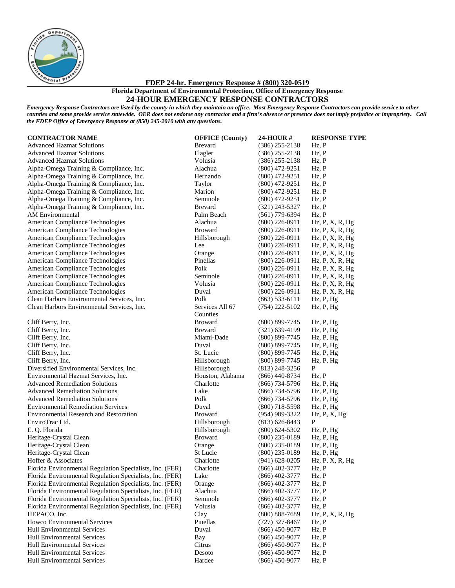

**FDEP 24-hr. Emergency Response # (800) 320-0519**

**Florida Department of Environmental Protection, Office of Emergency Response 24-HOUR EMERGENCY RESPONSE CONTRACTORS**

*Emergency Response Contractors are listed by the county in which they maintain an office. Most Emergency Response Contractors can provide service to other counties and some provide service statewide. OER does not endorse any contractor and a firm's absence or presence does not imply prejudice or impropriety. Call the FDEP Office of Emergency Response at (850) 245-2010 with any questions.*

| <b>CONTINACTON NAME</b>                                  | <u>OFFICE</u> (County) | <u> 24-1100K<math>\pi</math></u> | <b>NESI UNSE 1</b>            |
|----------------------------------------------------------|------------------------|----------------------------------|-------------------------------|
| <b>Advanced Hazmat Solutions</b>                         | <b>Brevard</b>         | $(386)$ 255-2138                 | $Hz$ , $P$                    |
| <b>Advanced Hazmat Solutions</b>                         | Flagler                | $(386)$ 255-2138                 | Hz, P                         |
| <b>Advanced Hazmat Solutions</b>                         | Volusia                | $(386)$ 255-2138                 | Hz, P                         |
| Alpha-Omega Training & Compliance, Inc.                  | Alachua                | $(800)$ 472-9251                 | Hz, P                         |
| Alpha-Omega Training & Compliance, Inc.                  | Hernando               | $(800)$ 472-9251                 | Hz, P                         |
| Alpha-Omega Training & Compliance, Inc.                  | Taylor                 | $(800)$ 472-9251                 | Hz, P                         |
| Alpha-Omega Training & Compliance, Inc.                  | Marion                 | $(800)$ 472-9251                 | Hz. P                         |
| Alpha-Omega Training & Compliance, Inc.                  | Seminole               | $(800)$ 472-9251                 | Hz, P                         |
| Alpha-Omega Training & Compliance, Inc.                  | <b>Brevard</b>         | $(321)$ 243-5327                 | Hz, P                         |
| <b>AM</b> Environmental                                  | Palm Beach             | $(561)$ 779-6394                 | Hz, P                         |
| American Compliance Technologies                         | Alachua                | $(800)$ 226-0911                 | Hz, P, X, R, Hg               |
| American Compliance Technologies                         | <b>Broward</b>         | $(800)$ 226-0911                 | Hz, P, X, R, Hg               |
| American Compliance Technologies                         | Hillsborough           | $(800)$ 226-0911                 | $Hz$ , $P$ , $X$ , $R$ , $Hg$ |
| American Compliance Technologies                         | Lee                    | $(800)$ 226-0911                 | $Hz$ , $P$ , $X$ , $R$ , $Hg$ |
| American Compliance Technologies                         | Orange                 | $(800)$ 226-0911                 | Hz, P, X, R, Hg               |
| American Compliance Technologies                         | Pinellas               | $(800)$ 226-0911                 | $Hz$ , $P$ , $X$ , $R$ , $Hg$ |
| American Compliance Technologies                         | Polk                   | $(800)$ 226-0911                 | $Hz$ , $P$ , $X$ , $R$ , $Hg$ |
| American Compliance Technologies                         | Seminole               | $(800)$ 226-0911                 | Hz, P, X, R, Hg               |
| American Compliance Technologies                         | Volusia                | $(800)$ 226-0911                 | Hz. P, X, R, Hg               |
| American Compliance Technologies                         | Duval                  | $(800)$ 226-0911                 | Hz, P, X, R, Hg               |
| Clean Harbors Environmental Services, Inc.               | Polk                   | $(863)$ 533-6111                 | Hz, P, Hg                     |
| Clean Harbors Environmental Services, Inc.               | Services All 67        | $(754)$ 222-5102                 | Hz, P, Hg                     |
|                                                          | Counties               |                                  |                               |
| Cliff Berry, Inc.                                        | <b>Broward</b>         | $(800)$ 899-7745                 | Hz, P, Hg                     |
| Cliff Berry, Inc.                                        | <b>Brevard</b>         | $(321)$ 639-4199                 | Hz, P, Hg                     |
| Cliff Berry, Inc.                                        | Miami-Dade             | $(800)$ 899-7745                 | Hz, P, Hg                     |
| Cliff Berry, Inc.                                        | Duval                  | (800) 899-7745                   | Hz, P, Hg                     |
| Cliff Berry, Inc.                                        | St. Lucie              | (800) 899-7745                   | Hz, P, Hg                     |
| Cliff Berry, Inc.                                        | Hillsborough           | $(800)$ 899-7745                 | Hz, P, Hg                     |
| Diversified Environmental Services, Inc.                 | Hillsborough           | $(813)$ 248-3256                 | $\mathbf{P}$                  |
| Environmental Hazmat Services, Inc.                      | Houston, Alabama       | $(866)$ 440-8734                 | Hz, P                         |
| <b>Advanced Remediation Solutions</b>                    | Charlotte              | $(866)$ 734-5796                 | Hz, P, Hg                     |
| <b>Advanced Remediation Solutions</b>                    | Lake                   | $(866)$ 734-5796                 | Hz, P, Hg                     |
| <b>Advanced Remediation Solutions</b>                    | Polk                   | $(866)$ 734-5796                 | Hz, P, Hg                     |
| <b>Environmental Remediation Services</b>                | Duval                  | $(800)$ 718-5598                 | Hz, P, Hg                     |
| <b>Environmental Research and Restoration</b>            | <b>Broward</b>         | $(954)$ 989-3322                 | $Hz$ , $P$ , $X$ , $Hg$       |
| EnviroTrac Ltd.                                          | Hillsborough           | $(813)$ 626-8443                 | $\mathbf{P}$                  |
| E. Q. Florida                                            | Hillsborough           | $(800)$ 624-5302                 | Hz, P, Hg                     |
| Heritage-Crystal Clean                                   | <b>Broward</b>         | $(800)$ 235-0189                 | Hz, P, Hg                     |
| Heritage-Crystal Clean                                   | Orange                 | $(800)$ 235-0189                 | Hz, P, Hg                     |
| Heritage-Crystal Clean                                   | St Lucie               | $(800)$ 235-0189                 | Hz, P, Hg                     |
| Hoffer & Associates                                      | Charlotte              | $(941)$ 628-0205                 | Hz, P, X, R, Hg               |
| Florida Environmental Regulation Specialists, Inc. (FER) | Charlotte              | $(866)$ 402-3777                 | Hz, P                         |
| Florida Environmental Regulation Specialists, Inc. (FER) | Lake                   | $(866)$ 402-3777                 | Hz, P                         |
| Florida Environmental Regulation Specialists, Inc. (FER) | Orange                 | $(866)$ 402-3777                 | $Hz$ , $P$                    |
| Florida Environmental Regulation Specialists, Inc. (FER) | Alachua                | $(866)$ 402-3777                 | Hz, P                         |
| Florida Environmental Regulation Specialists, Inc. (FER) | Seminole               | $(866)$ 402-3777                 | Hz, P                         |
| Florida Environmental Regulation Specialists, Inc. (FER) | Volusia                | (866) 402-3777                   | Hz, P                         |
| HEPACO, Inc.                                             | Clay                   | $(800) 888 - 7689$               | Hz, P, X, R, Hg               |
| Howco Environmental Services                             | Pinellas               | $(727)$ 327-8467                 | Hz, P                         |
| Hull Environmental Services                              | Duval                  | $(866)$ 450-9077                 | Hz, P                         |
| <b>Hull Environmental Services</b>                       | Bay                    | $(866)$ 450-9077                 | Hz, P                         |
| Hull Environmental Services                              | Citrus                 | $(866)$ 450-9077                 | Hz, P                         |
| Hull Environmental Services                              | Desoto                 | $(866)$ 450-9077                 | Hz, P                         |
| Hull Environmental Services                              | Hardee                 | $(866)$ 450-9077                 | Hz, P                         |
|                                                          |                        |                                  |                               |

| <b>CONTRACTOR NAME</b>                                                                                               | <b>OFFICE</b> (County)      | 24-HOUR#                             | <b>RESPONSE TYPE</b>          |
|----------------------------------------------------------------------------------------------------------------------|-----------------------------|--------------------------------------|-------------------------------|
| <b>Advanced Hazmat Solutions</b>                                                                                     | <b>Brevard</b>              | $(386)$ 255-2138                     | Hz, P                         |
| <b>Advanced Hazmat Solutions</b>                                                                                     | Flagler                     | $(386)$ 255-2138                     | Hz, P                         |
| <b>Advanced Hazmat Solutions</b>                                                                                     | Volusia                     | $(386)$ 255-2138                     | Hz, P                         |
| Alpha-Omega Training & Compliance, Inc.                                                                              | Alachua                     | $(800)$ 472-9251                     | Hz, P                         |
| Alpha-Omega Training & Compliance, Inc.                                                                              | Hernando                    | $(800)$ 472-9251                     | Hz, P                         |
| Alpha-Omega Training & Compliance, Inc.                                                                              | Taylor                      | $(800)$ 472-9251                     | Hz, P                         |
| Alpha-Omega Training & Compliance, Inc.                                                                              | Marion                      | $(800)$ 472-9251                     | Hz. P                         |
| Alpha-Omega Training & Compliance, Inc.                                                                              | Seminole                    | $(800)$ 472-9251                     | Hz, P                         |
| Alpha-Omega Training & Compliance, Inc.                                                                              | <b>Brevard</b>              | $(321)$ 243-5327                     | Hz, P                         |
| AM Environmental                                                                                                     | Palm Beach                  | $(561)$ 779-6394                     | Hz, P                         |
| American Compliance Technologies                                                                                     | Alachua                     | $(800)$ 226-0911                     | Hz, P, X, R, Hg               |
| American Compliance Technologies                                                                                     | <b>Broward</b>              | $(800)$ 226-0911                     | $Hz$ , $P$ , $X$ , $R$ , $Hg$ |
| American Compliance Technologies                                                                                     | Hillsborough                | $(800)$ 226-0911                     | $Hz$ , $P$ , $X$ , $R$ , $Hg$ |
| American Compliance Technologies                                                                                     | Lee                         | $(800)$ 226-0911                     | Hz, P, X, R, Hg               |
| American Compliance Technologies                                                                                     | Orange                      | $(800)$ 226-0911                     | $Hz$ , $P$ , $X$ , $R$ , $Hg$ |
| American Compliance Technologies                                                                                     | Pinellas                    | $(800)$ 226-0911                     | $Hz$ , $P$ , $X$ , $R$ , $Hg$ |
| American Compliance Technologies                                                                                     | Polk                        | $(800)$ 226-0911                     | Hz, P, X, R, Hg               |
| American Compliance Technologies                                                                                     | Seminole                    | $(800)$ 226-0911                     | Hz, P, X, R, Hg               |
| American Compliance Technologies                                                                                     | Volusia                     | $(800)$ 226-0911                     | Hz. P, X, R, Hg               |
| American Compliance Technologies                                                                                     | Duval                       | $(800)$ 226-0911                     | $Hz$ , $P$ , $X$ , $R$ , $Hg$ |
| Clean Harbors Environmental Services, Inc.                                                                           | Polk                        | $(863)$ 533-6111                     | Hz, P, Hg                     |
| Clean Harbors Environmental Services, Inc.                                                                           | Services All 67<br>Counties | $(754)$ 222-5102                     | Hz, P, Hg                     |
| Cliff Berry, Inc.                                                                                                    | <b>Broward</b>              | $(800)$ 899-7745                     | Hz, P, Hg                     |
| Cliff Berry, Inc.                                                                                                    | <b>Brevard</b>              | $(321)$ 639-4199                     | Hz, P, Hg                     |
| Cliff Berry, Inc.                                                                                                    | Miami-Dade                  | $(800)$ 899-7745                     | Hz, P, Hg                     |
| Cliff Berry, Inc.                                                                                                    | Duval                       | (800) 899-7745                       | Hz, P, Hg                     |
| Cliff Berry, Inc.                                                                                                    | St. Lucie                   | $(800)$ 899-7745                     | Hz, P, Hg                     |
| Cliff Berry, Inc.                                                                                                    | Hillsborough                | $(800)$ 899-7745                     | Hz, P, Hg                     |
| Diversified Environmental Services, Inc.                                                                             | Hillsborough                | $(813)$ 248-3256                     | P                             |
| Environmental Hazmat Services, Inc.                                                                                  | Houston, Alabama            | $(866)$ 440-8734                     | Hz, P                         |
| <b>Advanced Remediation Solutions</b>                                                                                | Charlotte                   | $(866)$ 734-5796                     | Hz, P, Hg                     |
| <b>Advanced Remediation Solutions</b>                                                                                | Lake                        | $(866)$ 734-5796                     | Hz, P, Hg                     |
| <b>Advanced Remediation Solutions</b>                                                                                | Polk                        | $(866)$ 734-5796                     | Hz, P, Hg                     |
| <b>Environmental Remediation Services</b>                                                                            | Duval                       | $(800)$ 718-5598                     | Hz, P, Hg                     |
| <b>Environmental Research and Restoration</b>                                                                        | <b>Broward</b>              | $(954)$ 989-3322                     | $Hz$ , $P$ , $X$ , $Hg$       |
| EnviroTrac Ltd.                                                                                                      | Hillsborough                | $(813) 626 - 8443$                   | P                             |
| E. Q. Florida                                                                                                        | Hillsborough                | $(800)$ 624-5302                     | Hz, P, Hg                     |
| Heritage-Crystal Clean                                                                                               | <b>Broward</b>              | $(800)$ 235-0189                     | Hz, P, Hg                     |
| Heritage-Crystal Clean                                                                                               | Orange                      | $(800)$ 235-0189                     | Hz, P, Hg                     |
| Heritage-Crystal Clean                                                                                               | <b>St Lucie</b>             | $(800)$ 235-0189                     | Hz, P, Hg                     |
| Hoffer & Associates                                                                                                  | Charlotte                   | $(941) 628 - 0205$                   | $Hz$ , $P$ , $X$ , $R$ , $Hg$ |
| Florida Environmental Regulation Specialists, Inc. (FER)                                                             | Charlotte                   | $(866)$ 402-3777                     | Hz, P                         |
| Florida Environmental Regulation Specialists, Inc. (FER)                                                             | Lake                        | $(866)$ 402-3777                     | Hz, P<br>Hz, P                |
| Florida Environmental Regulation Specialists, Inc. (FER)<br>Florida Environmental Regulation Specialists, Inc. (FER) | Orange<br>Alachua           | $(866)$ 402-3777                     | Hz, P                         |
| Florida Environmental Regulation Specialists, Inc. (FER)                                                             | Seminole                    | $(866)$ 402-3777<br>$(866)$ 402-3777 | Hz, P                         |
| Florida Environmental Regulation Specialists, Inc. (FER)                                                             | Volusia                     | $(866)$ 402-3777                     | Hz, P                         |
| HEPACO, Inc.                                                                                                         | Clay                        | $(800) 888 - 7689$                   | Hz, P, X, R, Hg               |
| Howco Environmental Services                                                                                         | Pinellas                    | $(727)$ 327-8467                     | Hz, P                         |
| <b>Hull Environmental Services</b>                                                                                   | Duval                       | $(866)$ 450-9077                     | Hz, P                         |
| Hull Environmental Services                                                                                          | Bay                         | $(866)$ 450-9077                     | Hz, P                         |
| Hull Environmental Services                                                                                          | Citrus                      | $(866)$ 450-9077                     | Hz, P                         |
| Hull Environmental Services                                                                                          | Desoto                      | $(866)$ 450-9077                     | Hz, P                         |
| Hull Environmental Services                                                                                          | Hardee                      | $(866)$ 450-9077                     | Hz, P                         |
|                                                                                                                      |                             |                                      |                               |